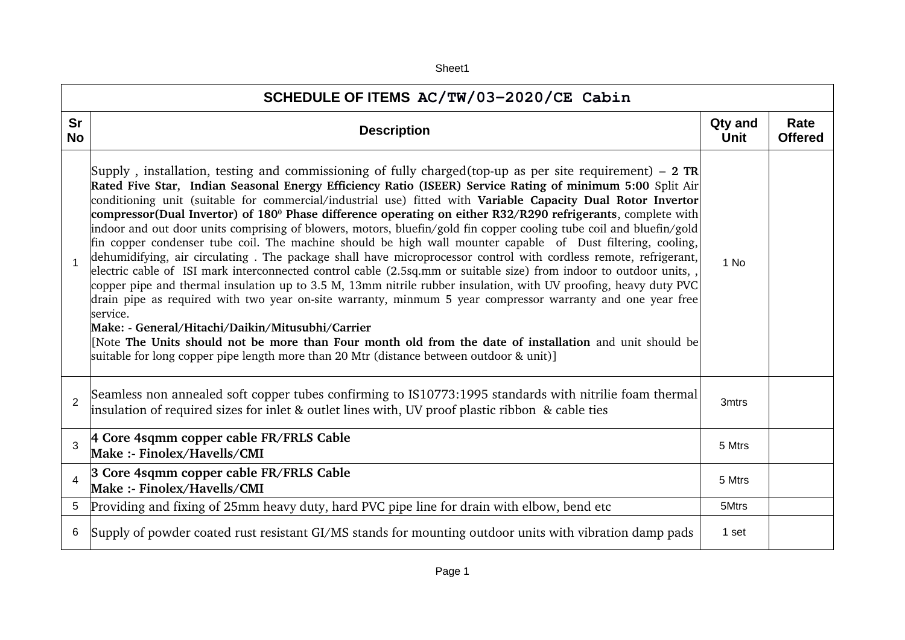| SCHEDULE OF ITEMS AC/TW/03-2020/CE Cabin |                                                                                                                                                                                                                                                                                                                                                                                                                                                                                                                                                                                                                                                                                                                                                                                                                                                                                                                                                                                                                                                                                                                                                                                                                                                                                                                                                                                                                                                              |                               |                        |  |  |
|------------------------------------------|--------------------------------------------------------------------------------------------------------------------------------------------------------------------------------------------------------------------------------------------------------------------------------------------------------------------------------------------------------------------------------------------------------------------------------------------------------------------------------------------------------------------------------------------------------------------------------------------------------------------------------------------------------------------------------------------------------------------------------------------------------------------------------------------------------------------------------------------------------------------------------------------------------------------------------------------------------------------------------------------------------------------------------------------------------------------------------------------------------------------------------------------------------------------------------------------------------------------------------------------------------------------------------------------------------------------------------------------------------------------------------------------------------------------------------------------------------------|-------------------------------|------------------------|--|--|
| Sr<br><b>No</b>                          | <b>Description</b>                                                                                                                                                                                                                                                                                                                                                                                                                                                                                                                                                                                                                                                                                                                                                                                                                                                                                                                                                                                                                                                                                                                                                                                                                                                                                                                                                                                                                                           | <b>Qty and</b><br><b>Unit</b> | Rate<br><b>Offered</b> |  |  |
| $\mathbf{1}$                             | Supply, installation, testing and commissioning of fully charged (top-up as per site requirement) – 2 TR<br>Rated Five Star, Indian Seasonal Energy Efficiency Ratio (ISEER) Service Rating of minimum 5:00 Split Air<br>conditioning unit (suitable for commercial/industrial use) fitted with Variable Capacity Dual Rotor Invertor<br>compressor(Dual Invertor) of 180 <sup>°</sup> Phase difference operating on either R32/R290 refrigerants, complete with<br>indoor and out door units comprising of blowers, motors, bluefin/gold fin copper cooling tube coil and bluefin/gold<br>fin copper condenser tube coil. The machine should be high wall mounter capable of Dust filtering, cooling,<br>dehumidifying, air circulating. The package shall have microprocessor control with cordless remote, refrigerant,<br>electric cable of ISI mark interconnected control cable (2.5sq.mm or suitable size) from indoor to outdoor units,,<br>copper pipe and thermal insulation up to 3.5 M, 13mm nitrile rubber insulation, with UV proofing, heavy duty PVC<br>drain pipe as required with two year on-site warranty, minmum 5 year compressor warranty and one year free<br>service.<br>Make: - General/Hitachi/Daikin/Mitusubhi/Carrier<br>[Note The Units should not be more than Four month old from the date of installation and unit should be<br>suitable for long copper pipe length more than 20 Mtr (distance between outdoor $\&$ unit)] | 1 No                          |                        |  |  |
| $\overline{2}$                           | Seamless non annealed soft copper tubes confirming to IS10773:1995 standards with nitrilie foam thermal<br>insulation of required sizes for inlet & outlet lines with, UV proof plastic ribbon & cable ties                                                                                                                                                                                                                                                                                                                                                                                                                                                                                                                                                                                                                                                                                                                                                                                                                                                                                                                                                                                                                                                                                                                                                                                                                                                  | 3mtrs                         |                        |  |  |
| 3                                        | 4 Core 4sqmm copper cable FR/FRLS Cable<br>Make :- Finolex/Havells/CMI                                                                                                                                                                                                                                                                                                                                                                                                                                                                                                                                                                                                                                                                                                                                                                                                                                                                                                                                                                                                                                                                                                                                                                                                                                                                                                                                                                                       | 5 Mtrs                        |                        |  |  |
| $\overline{4}$                           | 3 Core 4sqmm copper cable FR/FRLS Cable<br>Make :- Finolex/Havells/CMI                                                                                                                                                                                                                                                                                                                                                                                                                                                                                                                                                                                                                                                                                                                                                                                                                                                                                                                                                                                                                                                                                                                                                                                                                                                                                                                                                                                       | 5 Mtrs                        |                        |  |  |
| 5                                        | Providing and fixing of 25mm heavy duty, hard PVC pipe line for drain with elbow, bend etc                                                                                                                                                                                                                                                                                                                                                                                                                                                                                                                                                                                                                                                                                                                                                                                                                                                                                                                                                                                                                                                                                                                                                                                                                                                                                                                                                                   | 5Mtrs                         |                        |  |  |
| 6                                        | Supply of powder coated rust resistant GI/MS stands for mounting outdoor units with vibration damp pads                                                                                                                                                                                                                                                                                                                                                                                                                                                                                                                                                                                                                                                                                                                                                                                                                                                                                                                                                                                                                                                                                                                                                                                                                                                                                                                                                      | 1 set                         |                        |  |  |

Sheet1